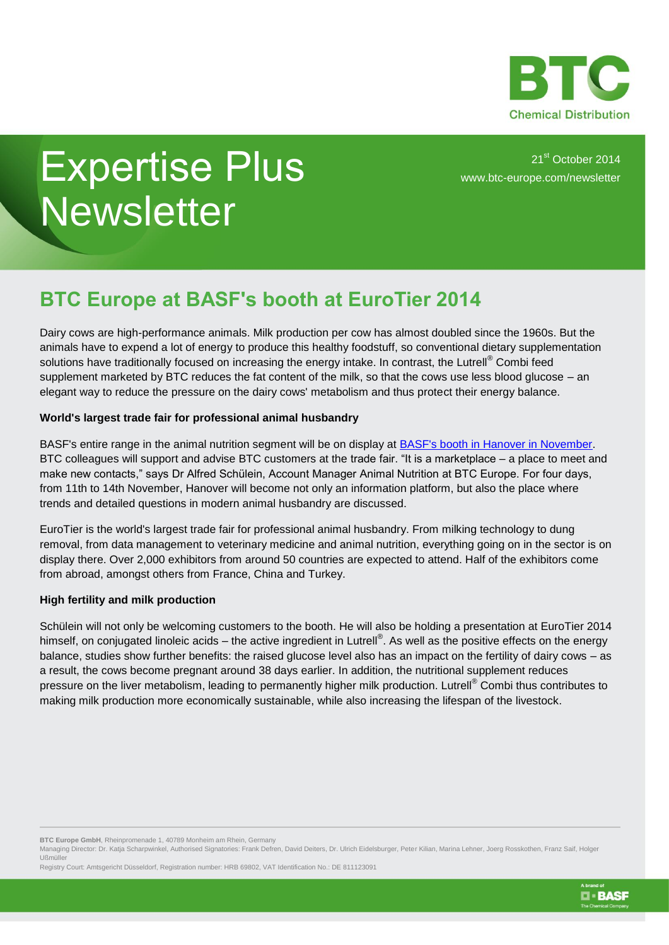

**D** · BASF

## Expertise Plus **Newsletter**

21<sup>st</sup> October 2014 [www.btc-europe.com/newsletter](http://www.btc-europe.com/newsletter)

## **BTC Europe at BASF's booth at EuroTier 2014**

Dairy cows are high-performance animals. Milk production per cow has almost doubled since the 1960s. But the animals have to expend a lot of energy to produce this healthy foodstuff, so conventional dietary supplementation solutions have traditionally focused on increasing the energy intake. In contrast, the Lutrell® Combi feed supplement marketed by BTC reduces the fat content of the milk, so that the cows use less blood glucose – an elegant way to reduce the pressure on the dairy cows' metabolism and thus protect their energy balance.

## **World's largest trade fair for professional animal husbandry**

BASF's entire range in the animal nutrition segment will be on display at [BASF's booth in Hanover in November.](http://www.btc-europe.com/en/DE/nc/news/article/eurotier-2014-in-hannover-germany-from-november-11th-to-14th/) BTC colleagues will support and advise BTC customers at the trade fair. "It is a marketplace – a place to meet and make new contacts," says Dr Alfred Schülein, Account Manager Animal Nutrition at BTC Europe. For four days, from 11th to 14th November, Hanover will become not only an information platform, but also the place where trends and detailed questions in modern animal husbandry are discussed.

EuroTier is the world's largest trade fair for professional animal husbandry. From milking technology to dung removal, from data management to veterinary medicine and animal nutrition, everything going on in the sector is on display there. Over 2,000 exhibitors from around 50 countries are expected to attend. Half of the exhibitors come from abroad, amongst others from France, China and Turkey.

## **High fertility and milk production**

Schülein will not only be welcoming customers to the booth. He will also be holding a presentation at EuroTier 2014 himself, on conjugated linoleic acids – the active ingredient in Lutrell®. As well as the positive effects on the energy balance, studies show further benefits: the raised glucose level also has an impact on the fertility of dairy cows – as a result, the cows become pregnant around 38 days earlier. In addition, the nutritional supplement reduces pressure on the liver metabolism, leading to permanently higher milk production. Lutrell<sup>®</sup> Combi thus contributes to making milk production more economically sustainable, while also increasing the lifespan of the livestock.

Managing Director: Dr. Katja Scharpwinkel, Authorised Signatories: Frank Defren, David Deiters, Dr. Ulrich Eidelsburger, Peter Kilian, Marina Lehner, Joerg Rosskothen, Franz Saif, Holger Ußmüller

Registry Court: Amtsgericht Düsseldorf, Registration number: HRB 69802, VAT Identification No.: DE 811123091

**BTC Europe GmbH**, Rheinpromenade 1, 40789 Monheim am Rhein, Germany